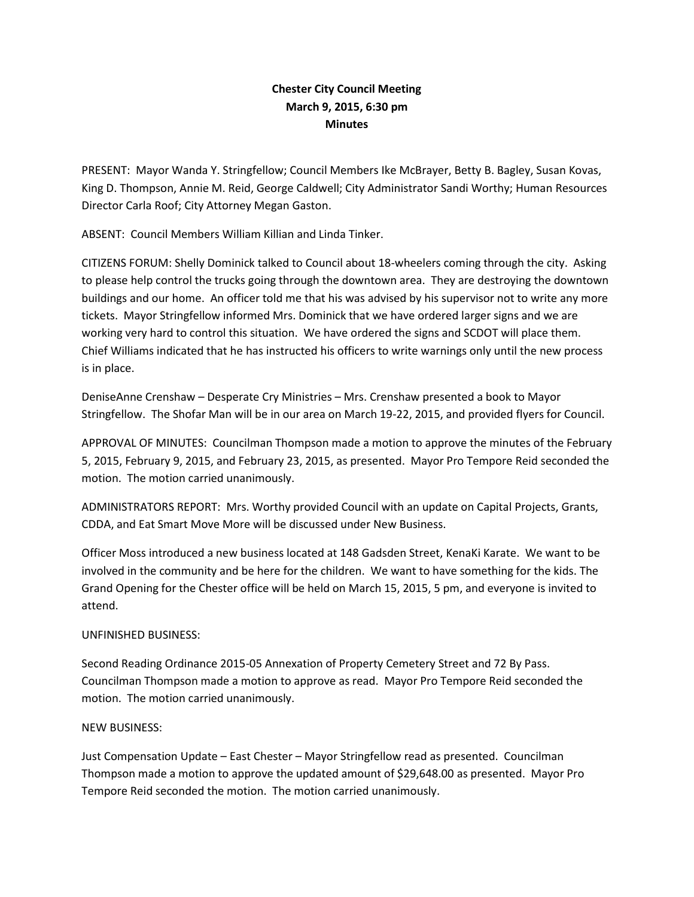## **Chester City Council Meeting March 9, 2015, 6:30 pm Minutes**

PRESENT: Mayor Wanda Y. Stringfellow; Council Members Ike McBrayer, Betty B. Bagley, Susan Kovas, King D. Thompson, Annie M. Reid, George Caldwell; City Administrator Sandi Worthy; Human Resources Director Carla Roof; City Attorney Megan Gaston.

ABSENT: Council Members William Killian and Linda Tinker.

CITIZENS FORUM: Shelly Dominick talked to Council about 18-wheelers coming through the city. Asking to please help control the trucks going through the downtown area. They are destroying the downtown buildings and our home. An officer told me that his was advised by his supervisor not to write any more tickets. Mayor Stringfellow informed Mrs. Dominick that we have ordered larger signs and we are working very hard to control this situation. We have ordered the signs and SCDOT will place them. Chief Williams indicated that he has instructed his officers to write warnings only until the new process is in place.

DeniseAnne Crenshaw – Desperate Cry Ministries – Mrs. Crenshaw presented a book to Mayor Stringfellow. The Shofar Man will be in our area on March 19-22, 2015, and provided flyers for Council.

APPROVAL OF MINUTES: Councilman Thompson made a motion to approve the minutes of the February 5, 2015, February 9, 2015, and February 23, 2015, as presented. Mayor Pro Tempore Reid seconded the motion. The motion carried unanimously.

ADMINISTRATORS REPORT: Mrs. Worthy provided Council with an update on Capital Projects, Grants, CDDA, and Eat Smart Move More will be discussed under New Business.

Officer Moss introduced a new business located at 148 Gadsden Street, KenaKi Karate. We want to be involved in the community and be here for the children. We want to have something for the kids. The Grand Opening for the Chester office will be held on March 15, 2015, 5 pm, and everyone is invited to attend.

## UNFINISHED BUSINESS:

Second Reading Ordinance 2015-05 Annexation of Property Cemetery Street and 72 By Pass. Councilman Thompson made a motion to approve as read. Mayor Pro Tempore Reid seconded the motion. The motion carried unanimously.

## NEW BUSINESS:

Just Compensation Update – East Chester – Mayor Stringfellow read as presented. Councilman Thompson made a motion to approve the updated amount of \$29,648.00 as presented. Mayor Pro Tempore Reid seconded the motion. The motion carried unanimously.